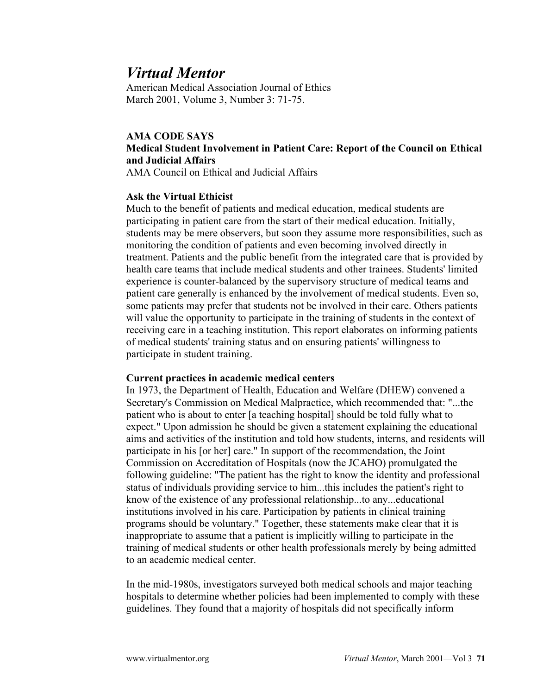# *Virtual Mentor*

American Medical Association Journal of Ethics March 2001, Volume 3, Number 3: 71-75.

# **AMA CODE SAYS Medical Student Involvement in Patient Care: Report of the Council on Ethical and Judicial Affairs**

AMA Council on Ethical and Judicial Affairs

#### **Ask the Virtual Ethicist**

Much to the benefit of patients and medical education, medical students are participating in patient care from the start of their medical education. Initially, students may be mere observers, but soon they assume more responsibilities, such as monitoring the condition of patients and even becoming involved directly in treatment. Patients and the public benefit from the integrated care that is provided by health care teams that include medical students and other trainees. Students' limited experience is counter-balanced by the supervisory structure of medical teams and patient care generally is enhanced by the involvement of medical students. Even so, some patients may prefer that students not be involved in their care. Others patients will value the opportunity to participate in the training of students in the context of receiving care in a teaching institution. This report elaborates on informing patients of medical students' training status and on ensuring patients' willingness to participate in student training.

#### **Current practices in academic medical centers**

In 1973, the Department of Health, Education and Welfare (DHEW) convened a Secretary's Commission on Medical Malpractice, which recommended that: "...the patient who is about to enter [a teaching hospital] should be told fully what to expect." Upon admission he should be given a statement explaining the educational aims and activities of the institution and told how students, interns, and residents will participate in his [or her] care." In support of the recommendation, the Joint Commission on Accreditation of Hospitals (now the JCAHO) promulgated the following guideline: "The patient has the right to know the identity and professional status of individuals providing service to him...this includes the patient's right to know of the existence of any professional relationship...to any...educational institutions involved in his care. Participation by patients in clinical training programs should be voluntary." Together, these statements make clear that it is inappropriate to assume that a patient is implicitly willing to participate in the training of medical students or other health professionals merely by being admitted to an academic medical center.

In the mid-1980s, investigators surveyed both medical schools and major teaching hospitals to determine whether policies had been implemented to comply with these guidelines. They found that a majority of hospitals did not specifically inform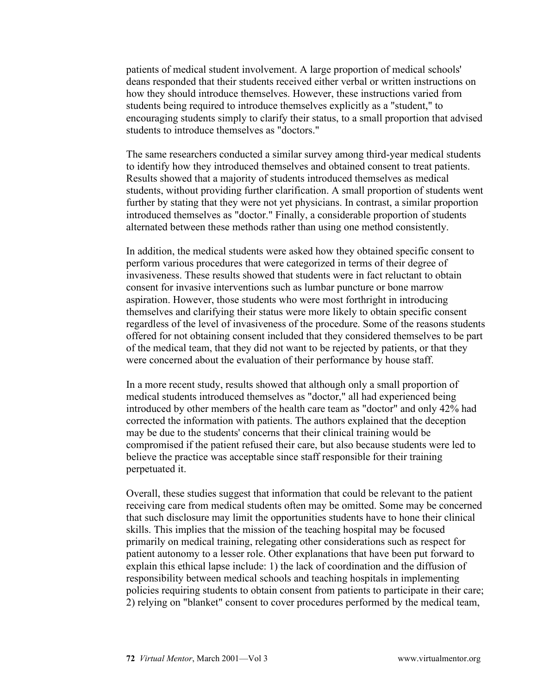patients of medical student involvement. A large proportion of medical schools' deans responded that their students received either verbal or written instructions on how they should introduce themselves. However, these instructions varied from students being required to introduce themselves explicitly as a "student," to encouraging students simply to clarify their status, to a small proportion that advised students to introduce themselves as "doctors."

The same researchers conducted a similar survey among third-year medical students to identify how they introduced themselves and obtained consent to treat patients. Results showed that a majority of students introduced themselves as medical students, without providing further clarification. A small proportion of students went further by stating that they were not yet physicians. In contrast, a similar proportion introduced themselves as "doctor." Finally, a considerable proportion of students alternated between these methods rather than using one method consistently.

In addition, the medical students were asked how they obtained specific consent to perform various procedures that were categorized in terms of their degree of invasiveness. These results showed that students were in fact reluctant to obtain consent for invasive interventions such as lumbar puncture or bone marrow aspiration. However, those students who were most forthright in introducing themselves and clarifying their status were more likely to obtain specific consent regardless of the level of invasiveness of the procedure. Some of the reasons students offered for not obtaining consent included that they considered themselves to be part of the medical team, that they did not want to be rejected by patients, or that they were concerned about the evaluation of their performance by house staff.

In a more recent study, results showed that although only a small proportion of medical students introduced themselves as "doctor," all had experienced being introduced by other members of the health care team as "doctor" and only 42% had corrected the information with patients. The authors explained that the deception may be due to the students' concerns that their clinical training would be compromised if the patient refused their care, but also because students were led to believe the practice was acceptable since staff responsible for their training perpetuated it.

Overall, these studies suggest that information that could be relevant to the patient receiving care from medical students often may be omitted. Some may be concerned that such disclosure may limit the opportunities students have to hone their clinical skills. This implies that the mission of the teaching hospital may be focused primarily on medical training, relegating other considerations such as respect for patient autonomy to a lesser role. Other explanations that have been put forward to explain this ethical lapse include: 1) the lack of coordination and the diffusion of responsibility between medical schools and teaching hospitals in implementing policies requiring students to obtain consent from patients to participate in their care; 2) relying on "blanket" consent to cover procedures performed by the medical team,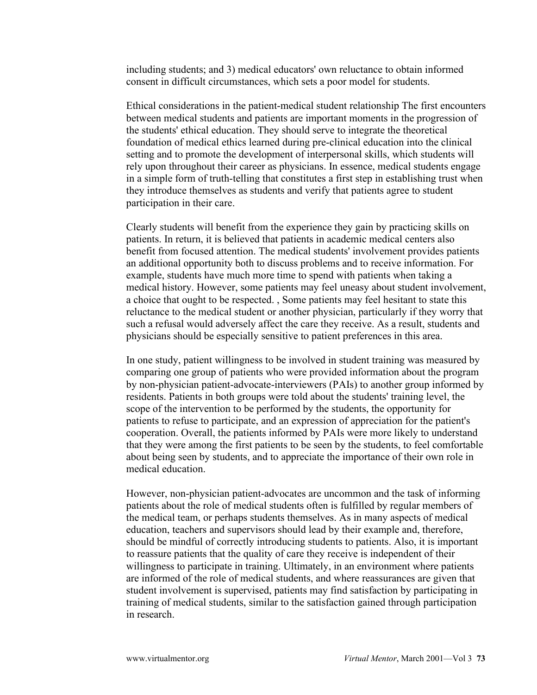including students; and 3) medical educators' own reluctance to obtain informed consent in difficult circumstances, which sets a poor model for students.

Ethical considerations in the patient-medical student relationship The first encounters between medical students and patients are important moments in the progression of the students' ethical education. They should serve to integrate the theoretical foundation of medical ethics learned during pre-clinical education into the clinical setting and to promote the development of interpersonal skills, which students will rely upon throughout their career as physicians. In essence, medical students engage in a simple form of truth-telling that constitutes a first step in establishing trust when they introduce themselves as students and verify that patients agree to student participation in their care.

Clearly students will benefit from the experience they gain by practicing skills on patients. In return, it is believed that patients in academic medical centers also benefit from focused attention. The medical students' involvement provides patients an additional opportunity both to discuss problems and to receive information. For example, students have much more time to spend with patients when taking a medical history. However, some patients may feel uneasy about student involvement, a choice that ought to be respected. , Some patients may feel hesitant to state this reluctance to the medical student or another physician, particularly if they worry that such a refusal would adversely affect the care they receive. As a result, students and physicians should be especially sensitive to patient preferences in this area.

In one study, patient willingness to be involved in student training was measured by comparing one group of patients who were provided information about the program by non-physician patient-advocate-interviewers (PAIs) to another group informed by residents. Patients in both groups were told about the students' training level, the scope of the intervention to be performed by the students, the opportunity for patients to refuse to participate, and an expression of appreciation for the patient's cooperation. Overall, the patients informed by PAIs were more likely to understand that they were among the first patients to be seen by the students, to feel comfortable about being seen by students, and to appreciate the importance of their own role in medical education.

However, non-physician patient-advocates are uncommon and the task of informing patients about the role of medical students often is fulfilled by regular members of the medical team, or perhaps students themselves. As in many aspects of medical education, teachers and supervisors should lead by their example and, therefore, should be mindful of correctly introducing students to patients. Also, it is important to reassure patients that the quality of care they receive is independent of their willingness to participate in training. Ultimately, in an environment where patients are informed of the role of medical students, and where reassurances are given that student involvement is supervised, patients may find satisfaction by participating in training of medical students, similar to the satisfaction gained through participation in research.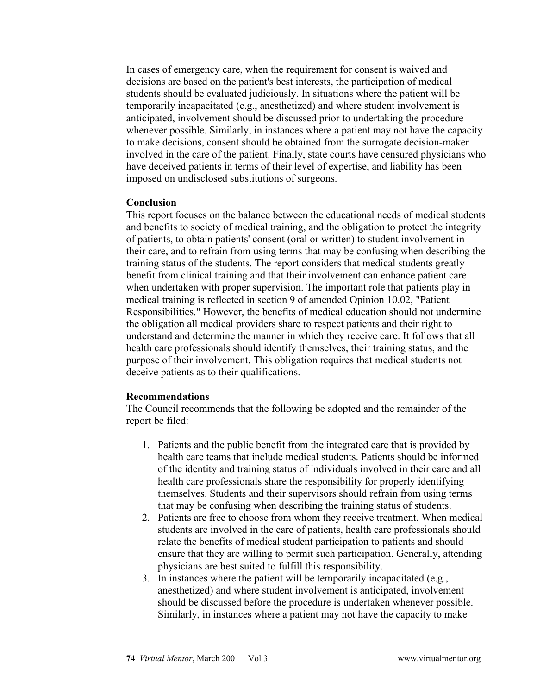In cases of emergency care, when the requirement for consent is waived and decisions are based on the patient's best interests, the participation of medical students should be evaluated judiciously. In situations where the patient will be temporarily incapacitated (e.g., anesthetized) and where student involvement is anticipated, involvement should be discussed prior to undertaking the procedure whenever possible. Similarly, in instances where a patient may not have the capacity to make decisions, consent should be obtained from the surrogate decision-maker involved in the care of the patient. Finally, state courts have censured physicians who have deceived patients in terms of their level of expertise, and liability has been imposed on undisclosed substitutions of surgeons.

### **Conclusion**

This report focuses on the balance between the educational needs of medical students and benefits to society of medical training, and the obligation to protect the integrity of patients, to obtain patients' consent (oral or written) to student involvement in their care, and to refrain from using terms that may be confusing when describing the training status of the students. The report considers that medical students greatly benefit from clinical training and that their involvement can enhance patient care when undertaken with proper supervision. The important role that patients play in medical training is reflected in section 9 of amended Opinion 10.02, "Patient Responsibilities." However, the benefits of medical education should not undermine the obligation all medical providers share to respect patients and their right to understand and determine the manner in which they receive care. It follows that all health care professionals should identify themselves, their training status, and the purpose of their involvement. This obligation requires that medical students not deceive patients as to their qualifications.

## **Recommendations**

The Council recommends that the following be adopted and the remainder of the report be filed:

- 1. Patients and the public benefit from the integrated care that is provided by health care teams that include medical students. Patients should be informed of the identity and training status of individuals involved in their care and all health care professionals share the responsibility for properly identifying themselves. Students and their supervisors should refrain from using terms that may be confusing when describing the training status of students.
- 2. Patients are free to choose from whom they receive treatment. When medical students are involved in the care of patients, health care professionals should relate the benefits of medical student participation to patients and should ensure that they are willing to permit such participation. Generally, attending physicians are best suited to fulfill this responsibility.
- 3. In instances where the patient will be temporarily incapacitated (e.g., anesthetized) and where student involvement is anticipated, involvement should be discussed before the procedure is undertaken whenever possible. Similarly, in instances where a patient may not have the capacity to make